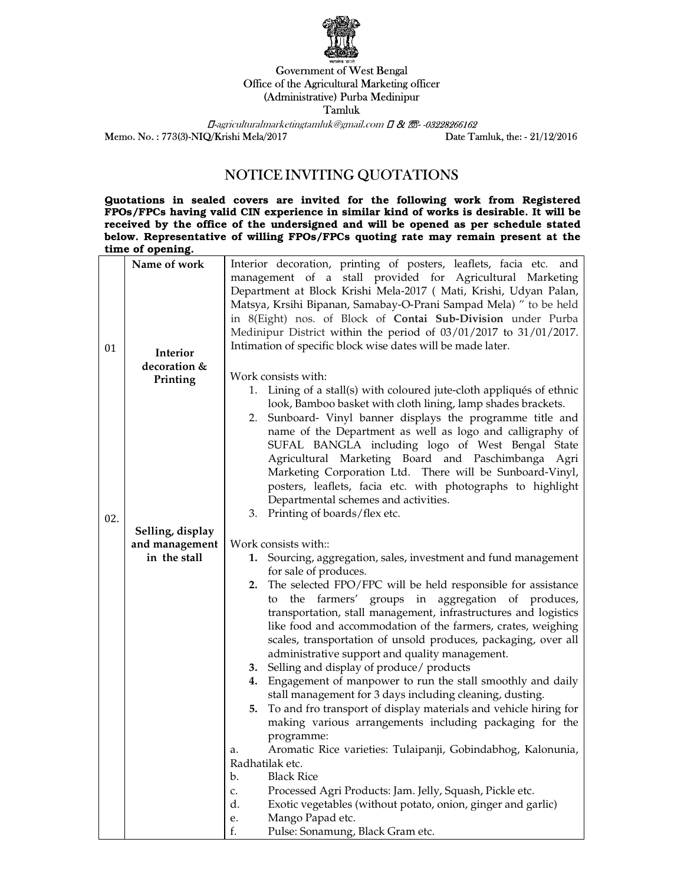

## Government of West Bengal Office of the Agricultural Marketing officer (Administrative) Purba Medinipur Tamluk

 $\Box$ -agriculturalmarketingtamluk@gmail.com  $\Box$  &  $\bar{\mathcal{Z}}$ -03228266162 Memo. No. : 773(3)-NIQ/Krishi Mela/2017 Date Tamluk, the: - 21/12/2016

## NOTICE INVITING QUOTATIONS

Quotations in sealed covers are invited for the following work from Registered FPOs/FPCs having valid CIN experience in similar kind of works is desirable. It will be received by the office of the undersigned and will be opened as per schedule stated below. Representative of willing FPOs/FPCs quoting rate may remain present at the time of opening.

| 01  | Name of work<br>Interior       | Interior decoration, printing of posters, leaflets, facia etc. and<br>management of a stall provided for Agricultural Marketing<br>Department at Block Krishi Mela-2017 ( Mati, Krishi, Udyan Palan,<br>Matsya, Krsihi Bipanan, Samabay-O-Prani Sampad Mela) " to be held<br>in 8(Eight) nos. of Block of Contai Sub-Division under Purba<br>Medinipur District within the period of 03/01/2017 to 31/01/2017.<br>Intimation of specific block wise dates will be made later. |
|-----|--------------------------------|-------------------------------------------------------------------------------------------------------------------------------------------------------------------------------------------------------------------------------------------------------------------------------------------------------------------------------------------------------------------------------------------------------------------------------------------------------------------------------|
|     | decoration &                   | Work consists with:                                                                                                                                                                                                                                                                                                                                                                                                                                                           |
|     | Printing                       | 1. Lining of a stall(s) with coloured jute-cloth appliqués of ethnic                                                                                                                                                                                                                                                                                                                                                                                                          |
|     |                                | look, Bamboo basket with cloth lining, lamp shades brackets.                                                                                                                                                                                                                                                                                                                                                                                                                  |
|     |                                | 2. Sunboard- Vinyl banner displays the programme title and<br>name of the Department as well as logo and calligraphy of<br>SUFAL BANGLA including logo of West Bengal State                                                                                                                                                                                                                                                                                                   |
|     |                                | Agricultural Marketing Board and Paschimbanga Agri                                                                                                                                                                                                                                                                                                                                                                                                                            |
|     |                                | Marketing Corporation Ltd. There will be Sunboard-Vinyl,                                                                                                                                                                                                                                                                                                                                                                                                                      |
|     |                                | posters, leaflets, facia etc. with photographs to highlight                                                                                                                                                                                                                                                                                                                                                                                                                   |
|     |                                | Departmental schemes and activities.                                                                                                                                                                                                                                                                                                                                                                                                                                          |
| 02. |                                | 3. Printing of boards/flex etc.                                                                                                                                                                                                                                                                                                                                                                                                                                               |
|     | Selling, display               |                                                                                                                                                                                                                                                                                                                                                                                                                                                                               |
|     | and management<br>in the stall | Work consists with::                                                                                                                                                                                                                                                                                                                                                                                                                                                          |
|     |                                | 1. Sourcing, aggregation, sales, investment and fund management<br>for sale of produces.                                                                                                                                                                                                                                                                                                                                                                                      |
|     |                                | 2. The selected FPO/FPC will be held responsible for assistance                                                                                                                                                                                                                                                                                                                                                                                                               |
|     |                                | the farmers' groups in aggregation of produces,<br>to                                                                                                                                                                                                                                                                                                                                                                                                                         |
|     |                                | transportation, stall management, infrastructures and logistics<br>like food and accommodation of the farmers, crates, weighing<br>scales, transportation of unsold produces, packaging, over all                                                                                                                                                                                                                                                                             |
|     |                                | administrative support and quality management.                                                                                                                                                                                                                                                                                                                                                                                                                                |
|     |                                | 3. Selling and display of produce/ products                                                                                                                                                                                                                                                                                                                                                                                                                                   |
|     |                                | Engagement of manpower to run the stall smoothly and daily<br>4.                                                                                                                                                                                                                                                                                                                                                                                                              |
|     |                                | stall management for 3 days including cleaning, dusting.<br>To and fro transport of display materials and vehicle hiring for<br>5.                                                                                                                                                                                                                                                                                                                                            |
|     |                                | making various arrangements including packaging for the                                                                                                                                                                                                                                                                                                                                                                                                                       |
|     |                                | programme:<br>Aromatic Rice varieties: Tulaipanji, Gobindabhog, Kalonunia,<br>a.                                                                                                                                                                                                                                                                                                                                                                                              |
|     |                                | Radhatilak etc.                                                                                                                                                                                                                                                                                                                                                                                                                                                               |
|     |                                | <b>Black Rice</b><br>b.                                                                                                                                                                                                                                                                                                                                                                                                                                                       |
|     |                                | Processed Agri Products: Jam. Jelly, Squash, Pickle etc.<br>c.                                                                                                                                                                                                                                                                                                                                                                                                                |
|     |                                | d.<br>Exotic vegetables (without potato, onion, ginger and garlic)                                                                                                                                                                                                                                                                                                                                                                                                            |
|     |                                | Mango Papad etc.<br>e.                                                                                                                                                                                                                                                                                                                                                                                                                                                        |
|     |                                | Pulse: Sonamung, Black Gram etc.<br>f.                                                                                                                                                                                                                                                                                                                                                                                                                                        |